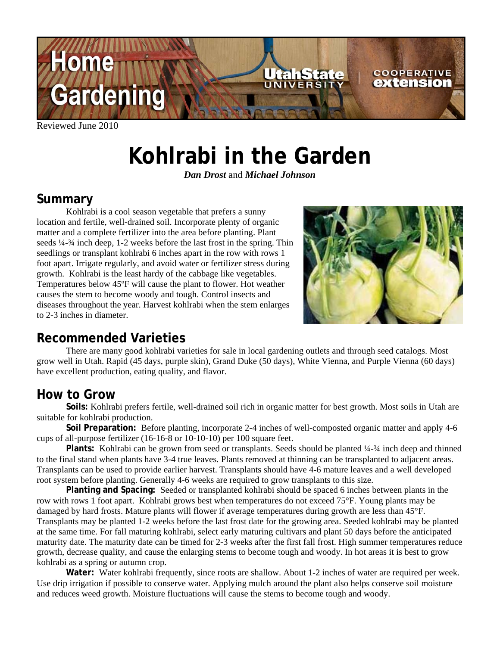

Reviewed June 2010

# **Kohlrabi in the Garden**

*Dan Drost* and *Michael Johnson*

## **Summary**

 Kohlrabi is a cool season vegetable that prefers a sunny location and fertile, well-drained soil. Incorporate plenty of organic matter and a complete fertilizer into the area before planting. Plant seeds ¼-¾ inch deep, 1-2 weeks before the last frost in the spring. Thin seedlings or transplant kohlrabi 6 inches apart in the row with rows 1 foot apart. Irrigate regularly, and avoid water or fertilizer stress during growth. Kohlrabi is the least hardy of the cabbage like vegetables. Temperatures below 45ºF will cause the plant to flower. Hot weather causes the stem to become woody and tough. Control insects and diseases throughout the year. Harvest kohlrabi when the stem enlarges to 2-3 inches in diameter.



#### **Recommended Varieties**

 There are many good kohlrabi varieties for sale in local gardening outlets and through seed catalogs. Most grow well in Utah. Rapid (45 days, purple skin), Grand Duke (50 days), White Vienna, and Purple Vienna (60 days) have excellent production, eating quality, and flavor.

# **How to Grow**

**Soils:** Kohlrabi prefers fertile, well-drained soil rich in organic matter for best growth. Most soils in Utah are suitable for kohlrabi production.

**Soil Preparation:** Before planting, incorporate 2-4 inches of well-composted organic matter and apply 4-6 cups of all-purpose fertilizer (16-16-8 or 10-10-10) per 100 square feet.

**Plants:** Kohlrabi can be grown from seed or transplants. Seeds should be planted ¼-¾ inch deep and thinned to the final stand when plants have 3-4 true leaves. Plants removed at thinning can be transplanted to adjacent areas. Transplants can be used to provide earlier harvest. Transplants should have 4-6 mature leaves and a well developed root system before planting. Generally 4-6 weeks are required to grow transplants to this size.

**Planting and Spacing:** Seeded or transplanted kohlrabi should be spaced 6 inches between plants in the row with rows 1 foot apart. Kohlrabi grows best when temperatures do not exceed 75°F. Young plants may be damaged by hard frosts. Mature plants will flower if average temperatures during growth are less than 45°F. Transplants may be planted 1-2 weeks before the last frost date for the growing area. Seeded kohlrabi may be planted at the same time. For fall maturing kohlrabi, select early maturing cultivars and plant 50 days before the anticipated maturity date. The maturity date can be timed for 2-3 weeks after the first fall frost. High summer temperatures reduce growth, decrease quality, and cause the enlarging stems to become tough and woody. In hot areas it is best to grow kohlrabi as a spring or autumn crop.

 **Water:** Water kohlrabi frequently, since roots are shallow. About 1-2 inches of water are required per week. Use drip irrigation if possible to conserve water. Applying mulch around the plant also helps conserve soil moisture and reduces weed growth. Moisture fluctuations will cause the stems to become tough and woody.